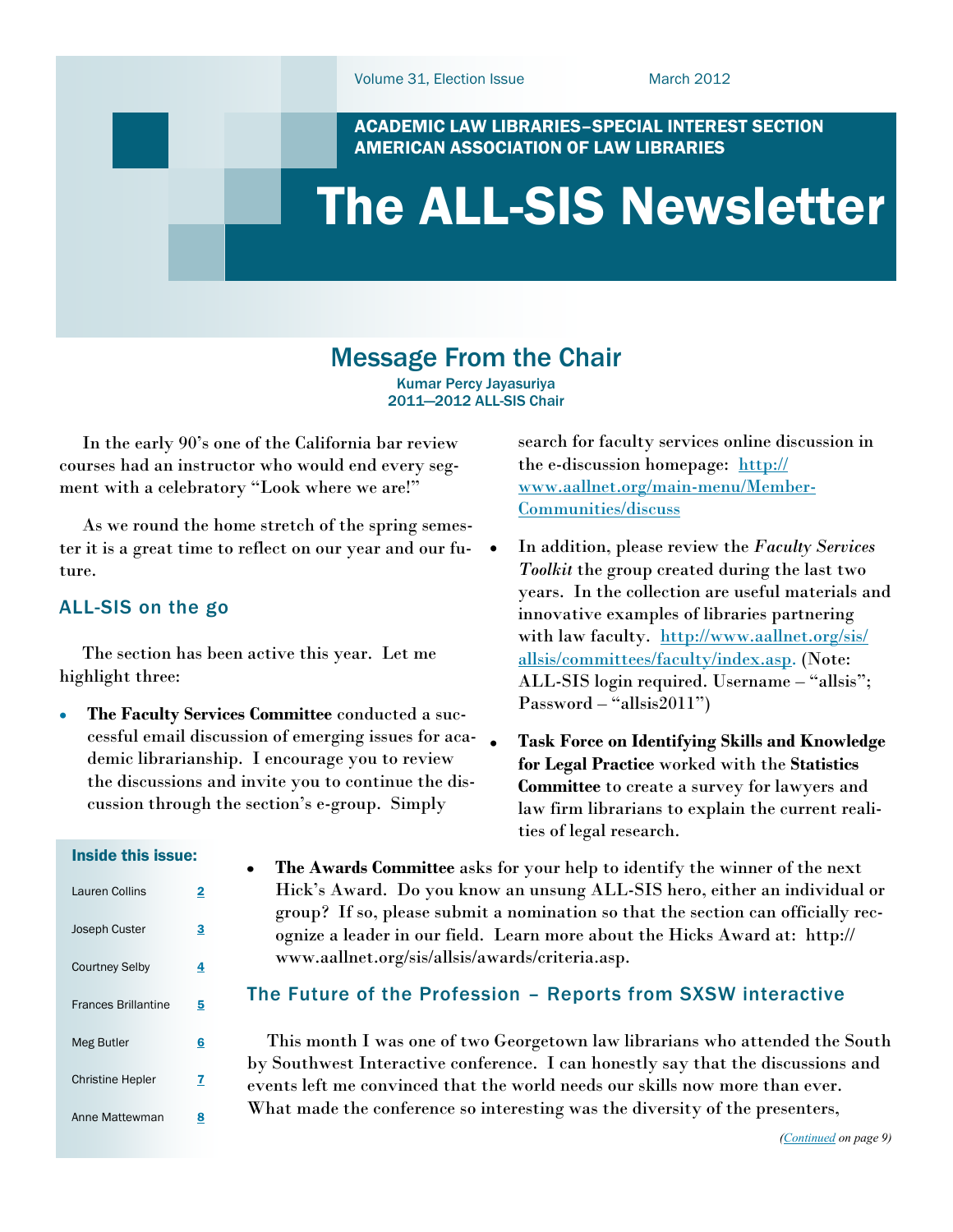search for faculty services online discussion in

In addition, please review the *Faculty Services Toolkit* the group created during the last two years. In the collection are useful materials and innovative examples of libraries partnering with law faculty. [http://www.aallnet.org/sis/](http://www.aallnet.org/sis/allsis/committees/faculty/index.asp) [allsis/committees/faculty/index.asp.](http://www.aallnet.org/sis/allsis/committees/faculty/index.asp) (Note: ALL-SIS login required. Username – "allsis";

**Task Force on Identifying Skills and Knowledge** 

the e-discussion homepage: [http://](http://www.aallnet.org/main-menu/Member-Communities/discuss) [www.aallnet.org/main-menu/Member-](http://www.aallnet.org/main-menu/Member-Communities/discuss)

ACADEMIC LAW LIBRARIES–SPECIAL INTEREST SECTION AMERICAN ASSOCIATION OF LAW LIBRARIES

# <span id="page-0-0"></span>The ALL-SIS Newsletter

[Communities/discuss](http://www.aallnet.org/main-menu/Member-Communities/discuss)

### Message From the Chair

Kumar Percy Jayasuriya 2011—2012 ALL-SIS Chair

 In the early 90"s one of the California bar review courses had an instructor who would end every segment with a celebratory "Look where we are!"

 As we round the home stretch of the spring semester it is a great time to reflect on our year and our future.

### ALL-SIS on the go

 The section has been active this year. Let me highlight three:

 $\bullet$ 

**The Faculty Services Committee** conducted a successful email discussion of emerging issues for academic librarianship. I encourage you to review the discussions and invite you to continue the discussion through the section"s e-group. Simply

Inside this issue:

| Lauren Collins             | 2 |
|----------------------------|---|
| <b>Joseph Custer</b>       | 3 |
| <b>Courtney Selby</b>      | 4 |
| <b>Frances Brillantine</b> | 5 |
| Meg Butler                 | 6 |
| <b>Christine Hepler</b>    | 7 |
| Anne Mattewman             | 8 |
|                            |   |

**for Legal Practice** worked with the **Statistics Committee** to create a survey for lawyers and law firm librarians to explain the current realities of legal research. **The Awards Committee** asks for your help to identify the winner of the next Hick"s Award. Do you know an unsung ALL-SIS hero, either an individual or group? If so, please submit a nomination so that the section can officially rec-

 $Password - "allisis2011")$ 

#### The Future of the Profession – Reports from SXSW interactive

www.aallnet.org/sis/allsis/awards/criteria.asp.

ognize a leader in our field. Learn more about the Hicks Award at: http://

 This month I was one of two Georgetown law librarians who attended the South by Southwest Interactive conference. I can honestly say that the discussions and events left me convinced that the world needs our skills now more than ever. What made the conference so interesting was the diversity of the presenters,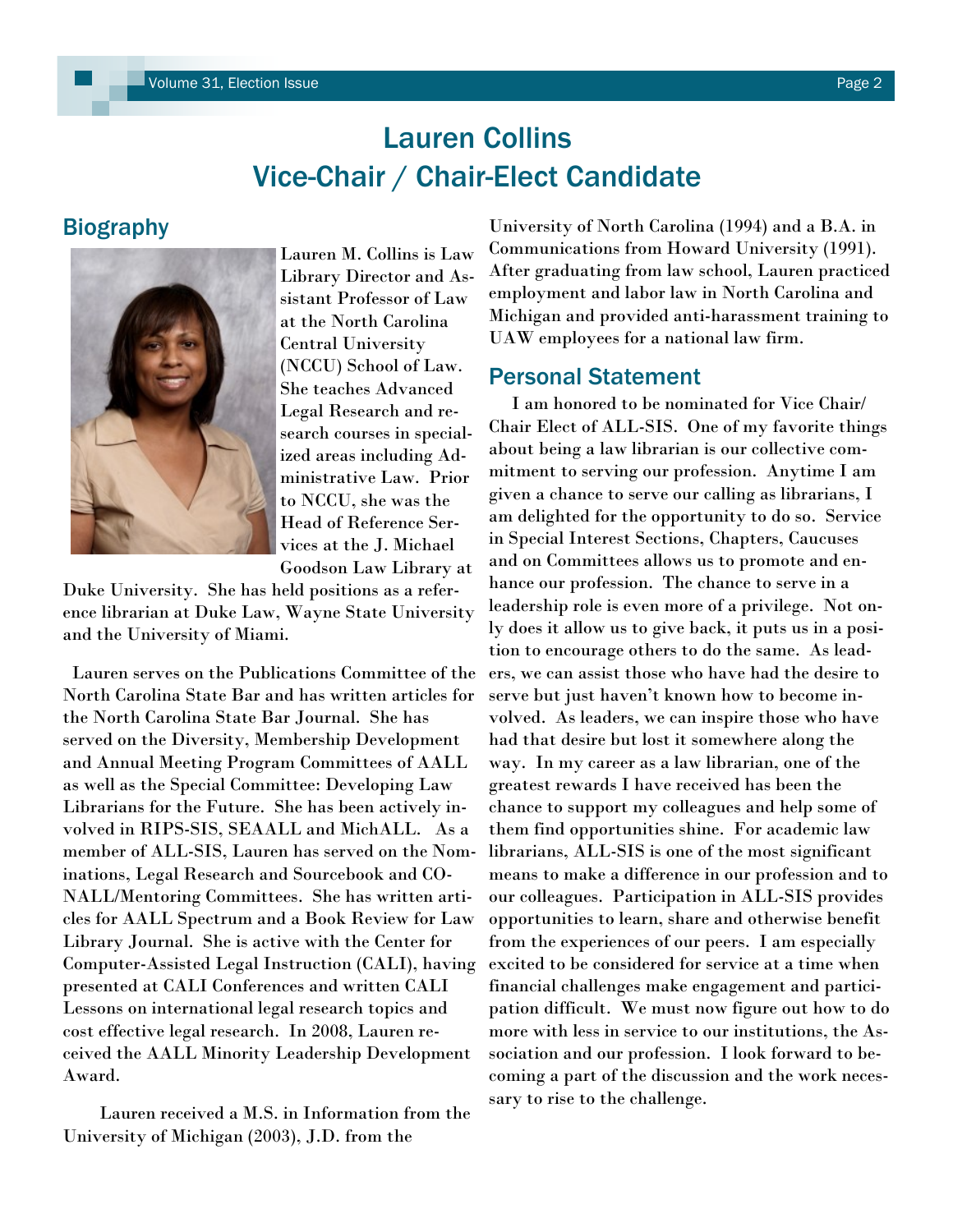# Lauren Collins Vice-Chair / Chair-Elect Candidate

### <span id="page-1-0"></span>**Biography**



Lauren M. Collins is Law Library Director and Assistant Professor of Law at the North Carolina Central University (NCCU) School of Law. She teaches Advanced Legal Research and research courses in specialized areas including Administrative Law. Prior to NCCU, she was the Head of Reference Services at the J. Michael Goodson Law Library at

Duke University. She has held positions as a reference librarian at Duke Law, Wayne State University and the University of Miami.

 Lauren serves on the Publications Committee of the North Carolina State Bar and has written articles for the North Carolina State Bar Journal. She has served on the Diversity, Membership Development and Annual Meeting Program Committees of AALL as well as the Special Committee: Developing Law Librarians for the Future. She has been actively involved in RIPS-SIS, SEAALL and MichALL. As a member of ALL-SIS, Lauren has served on the Nominations, Legal Research and Sourcebook and CO-NALL/Mentoring Committees. She has written articles for AALL Spectrum and a Book Review for Law Library Journal. She is active with the Center for Computer-Assisted Legal Instruction (CALI), having presented at CALI Conferences and written CALI Lessons on international legal research topics and cost effective legal research. In 2008, Lauren received the AALL Minority Leadership Development Award.

 Lauren received a M.S. in Information from the University of Michigan (2003), J.D. from the

University of North Carolina (1994) and a B.A. in Communications from Howard University (1991). After graduating from law school, Lauren practiced employment and labor law in North Carolina and Michigan and provided anti-harassment training to UAW employees for a national law firm.

### Personal Statement

 I am honored to be nominated for Vice Chair/ Chair Elect of ALL-SIS. One of my favorite things about being a law librarian is our collective commitment to serving our profession. Anytime I am given a chance to serve our calling as librarians, I am delighted for the opportunity to do so. Service in Special Interest Sections, Chapters, Caucuses and on Committees allows us to promote and enhance our profession. The chance to serve in a leadership role is even more of a privilege. Not only does it allow us to give back, it puts us in a position to encourage others to do the same. As leaders, we can assist those who have had the desire to serve but just haven"t known how to become involved. As leaders, we can inspire those who have had that desire but lost it somewhere along the way. In my career as a law librarian, one of the greatest rewards I have received has been the chance to support my colleagues and help some of them find opportunities shine. For academic law librarians, ALL-SIS is one of the most significant means to make a difference in our profession and to our colleagues. Participation in ALL-SIS provides opportunities to learn, share and otherwise benefit from the experiences of our peers. I am especially excited to be considered for service at a time when financial challenges make engagement and participation difficult. We must now figure out how to do more with less in service to our institutions, the Association and our profession. I look forward to becoming a part of the discussion and the work necessary to rise to the challenge.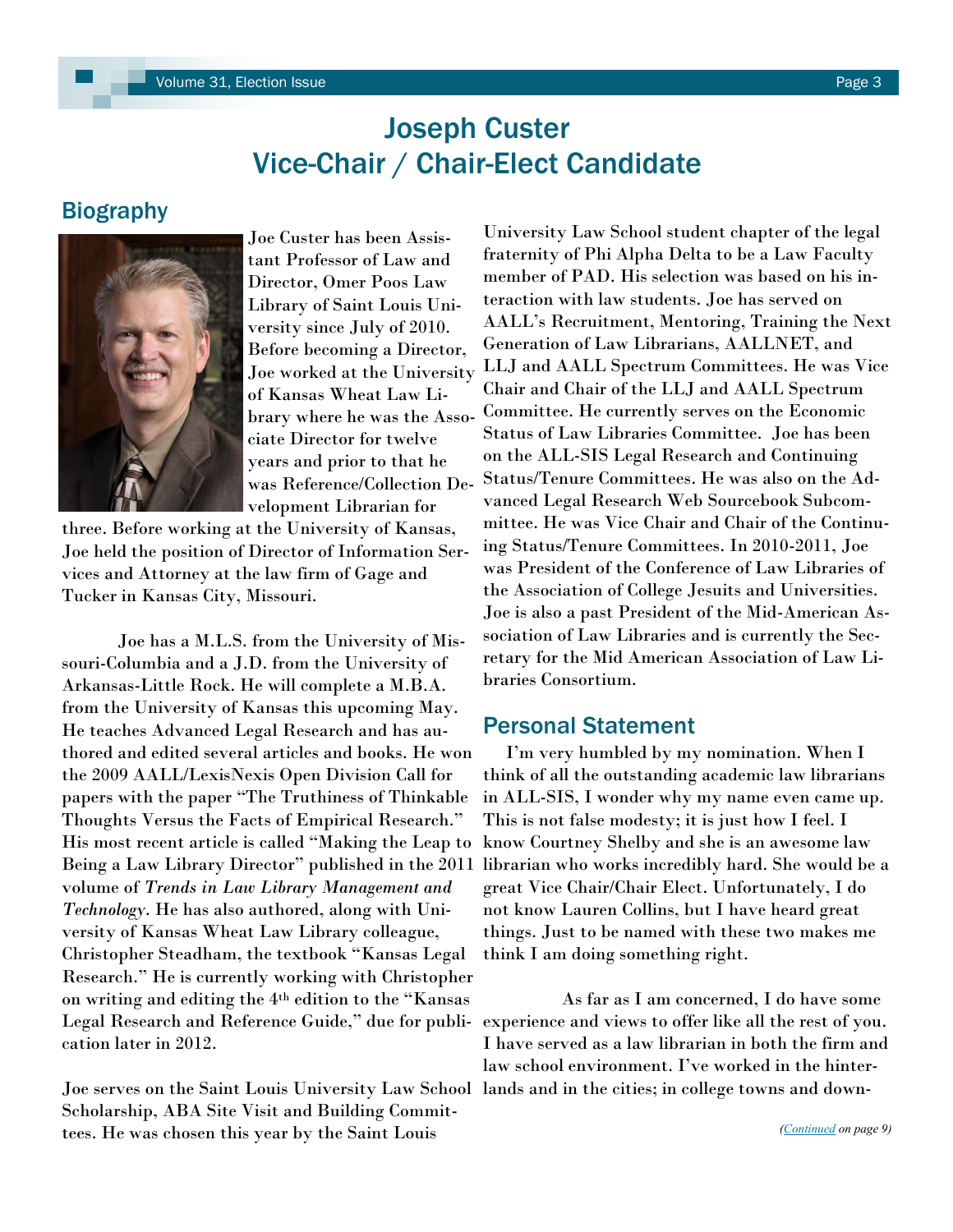## Joseph Custer Vice-Chair / Chair-Elect Candidate

### <span id="page-2-0"></span>Biography



Joe Custer has been Assistant Professor of Law and Director, Omer Poos Law Library of Saint Louis University since July of 2010. Before becoming a Director, Joe worked at the University of Kansas Wheat Law Library where he was the Associate Director for twelve years and prior to that he was Reference/Collection Development Librarian for

three. Before working at the University of Kansas, Joe held the position of Director of Information Services and Attorney at the law firm of Gage and Tucker in Kansas City, Missouri.

Joe has a M.L.S. from the University of Missouri-Columbia and a J.D. from the University of Arkansas-Little Rock. He will complete a M.B.A. from the University of Kansas this upcoming May. He teaches Advanced Legal Research and has authored and edited several articles and books. He won the 2009 AALL/LexisNexis Open Division Call for papers with the paper "The Truthiness of Thinkable Thoughts Versus the Facts of Empirical Research." His most recent article is called "Making the Leap to Being a Law Library Director" published in the 2011 volume of *Trends in Law Library Management and Technology*. He has also authored, along with University of Kansas Wheat Law Library colleague, Christopher Steadham, the textbook "Kansas Legal Research." He is currently working with Christopher on writing and editing the 4th edition to the "Kansas Legal Research and Reference Guide," due for publication later in 2012.

Scholarship, ABA Site Visit and Building Committees. He was chosen this year by the Saint Louis

University Law School student chapter of the legal fraternity of Phi Alpha Delta to be a Law Faculty member of PAD. His selection was based on his interaction with law students. Joe has served on AALL"s Recruitment, Mentoring, Training the Next Generation of Law Librarians, AALLNET, and LLJ and AALL Spectrum Committees. He was Vice Chair and Chair of the LLJ and AALL Spectrum Committee. He currently serves on the Economic Status of Law Libraries Committee. Joe has been on the ALL-SIS Legal Research and Continuing Status/Tenure Committees. He was also on the Advanced Legal Research Web Sourcebook Subcommittee. He was Vice Chair and Chair of the Continuing Status/Tenure Committees. In 2010-2011, Joe was President of the Conference of Law Libraries of the Association of College Jesuits and Universities. Joe is also a past President of the Mid-American Association of Law Libraries and is currently the Secretary for the Mid American Association of Law Libraries Consortium.

### Personal Statement

 I"m very humbled by my nomination. When I think of all the outstanding academic law librarians in ALL-SIS, I wonder why my name even came up. This is not false modesty; it is just how I feel. I know Courtney Shelby and she is an awesome law librarian who works incredibly hard. She would be a great Vice Chair/Chair Elect. Unfortunately, I do not know Lauren Collins, but I have heard great things. Just to be named with these two makes me think I am doing something right.

Joe serves on the Saint Louis University Law School lands and in the cities; in college towns and down- As far as I am concerned, I do have some experience and views to offer like all the rest of you. I have served as a law librarian in both the firm and law school environment. I"ve worked in the hinter-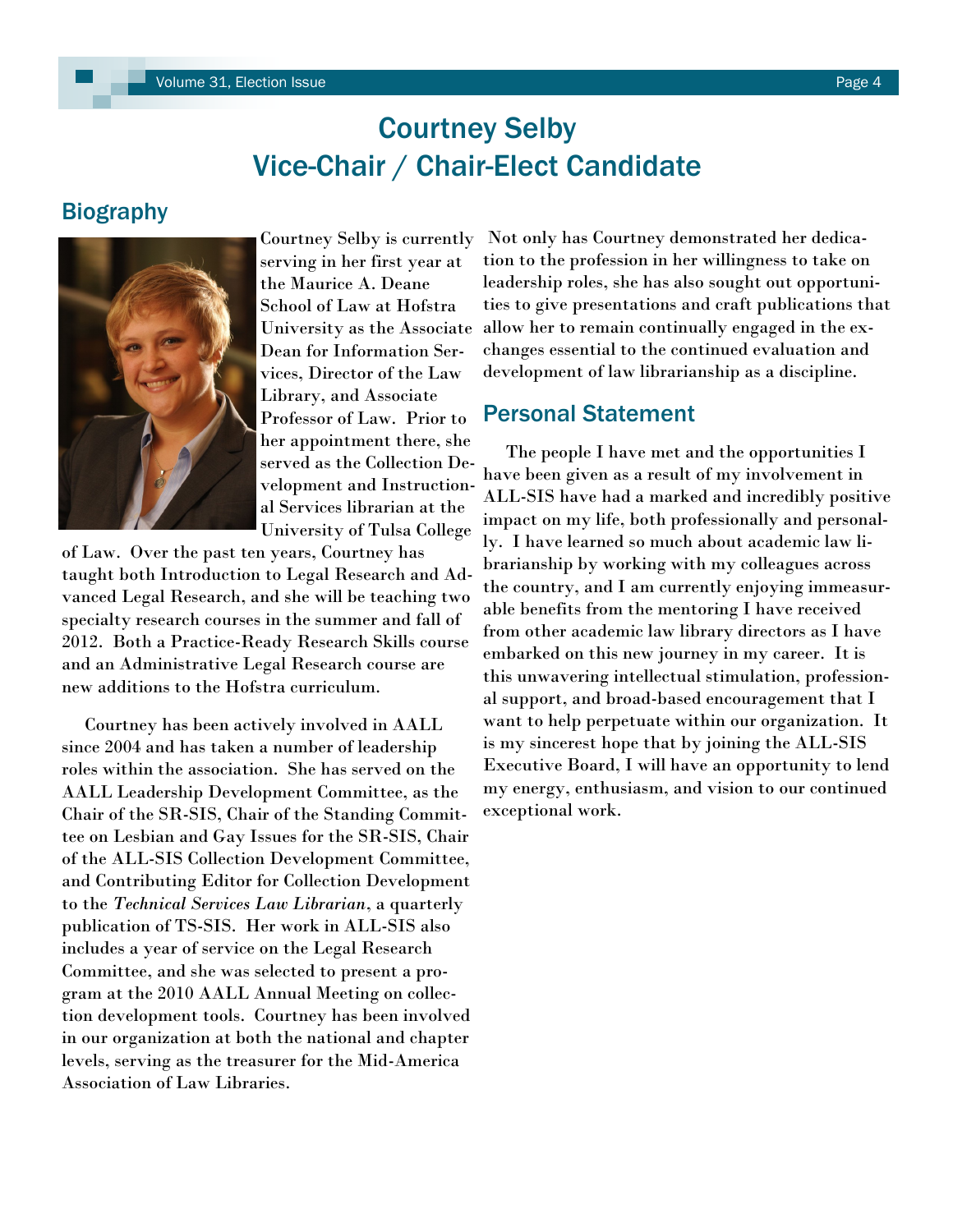## Courtney Selby Vice-Chair / Chair-Elect Candidate

### <span id="page-3-0"></span>**Biography**



Courtney Selby is currently serving in her first year at the Maurice A. Deane School of Law at Hofstra University as the Associate Dean for Information Services, Director of the Law Library, and Associate Professor of Law. Prior to her appointment there, she served as the Collection Development and Instructional Services librarian at the University of Tulsa College

of Law. Over the past ten years, Courtney has taught both Introduction to Legal Research and Advanced Legal Research, and she will be teaching two specialty research courses in the summer and fall of 2012. Both a Practice-Ready Research Skills course and an Administrative Legal Research course are new additions to the Hofstra curriculum.

 Courtney has been actively involved in AALL since 2004 and has taken a number of leadership roles within the association. She has served on the AALL Leadership Development Committee, as the Chair of the SR-SIS, Chair of the Standing Committee on Lesbian and Gay Issues for the SR-SIS, Chair of the ALL-SIS Collection Development Committee, and Contributing Editor for Collection Development to the *Technical Services Law Librarian*, a quarterly publication of TS-SIS. Her work in ALL-SIS also includes a year of service on the Legal Research Committee, and she was selected to present a program at the 2010 AALL Annual Meeting on collection development tools. Courtney has been involved in our organization at both the national and chapter levels, serving as the treasurer for the Mid-America Association of Law Libraries.

Not only has Courtney demonstrated her dedication to the profession in her willingness to take on leadership roles, she has also sought out opportunities to give presentations and craft publications that allow her to remain continually engaged in the exchanges essential to the continued evaluation and development of law librarianship as a discipline.

#### Personal Statement

 The people I have met and the opportunities I have been given as a result of my involvement in ALL-SIS have had a marked and incredibly positive impact on my life, both professionally and personally. I have learned so much about academic law librarianship by working with my colleagues across the country, and I am currently enjoying immeasurable benefits from the mentoring I have received from other academic law library directors as I have embarked on this new journey in my career. It is this unwavering intellectual stimulation, professional support, and broad-based encouragement that I want to help perpetuate within our organization. It is my sincerest hope that by joining the ALL-SIS Executive Board, I will have an opportunity to lend my energy, enthusiasm, and vision to our continued exceptional work.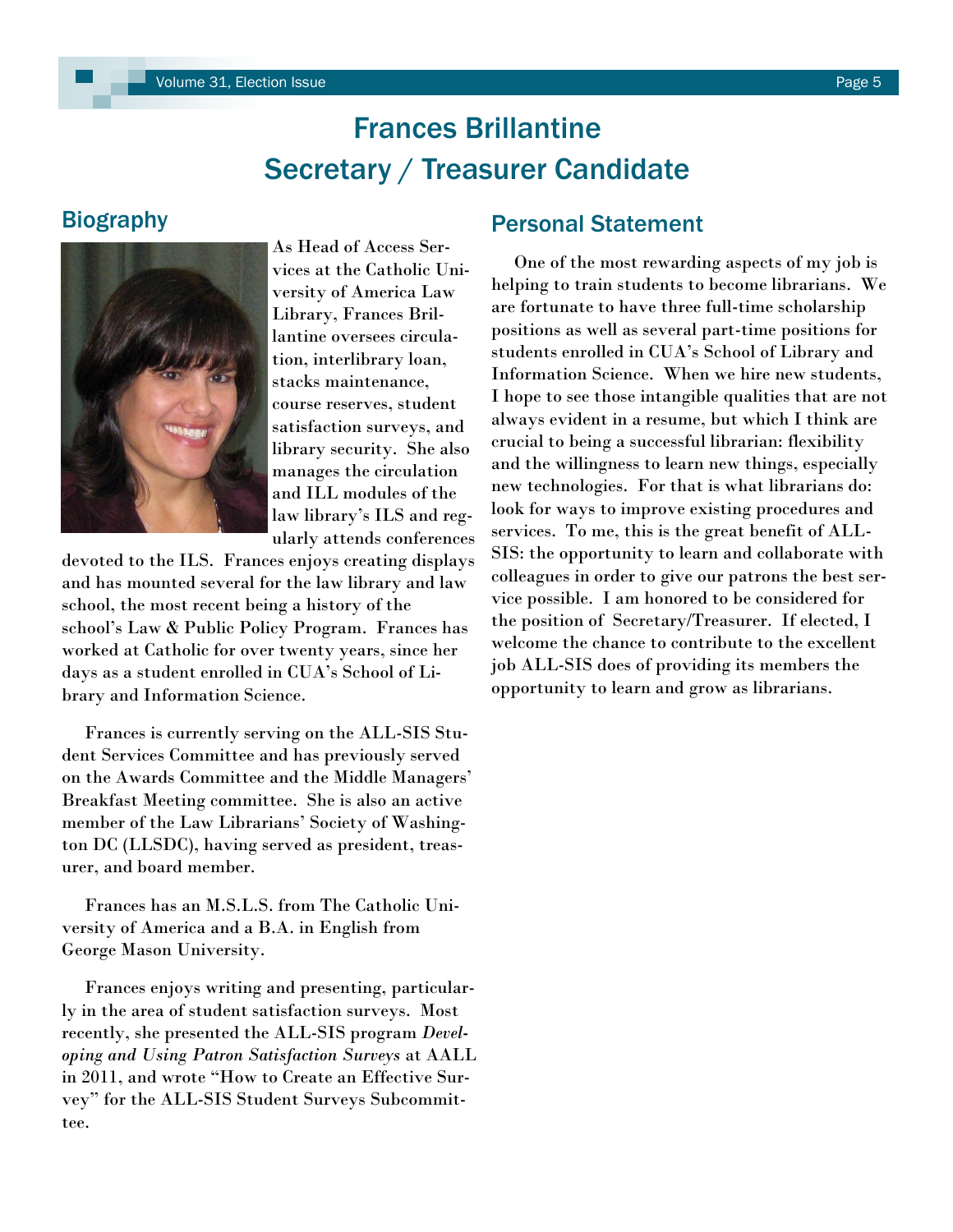# Frances Brillantine Secretary / Treasurer Candidate

### <span id="page-4-0"></span>**Biography**



As Head of Access Services at the Catholic University of America Law Library, Frances Brillantine oversees circulation, interlibrary loan, stacks maintenance, course reserves, student satisfaction surveys, and library security. She also manages the circulation and ILL modules of the law library"s ILS and regularly attends conferences

devoted to the ILS. Frances enjoys creating displays and has mounted several for the law library and law school, the most recent being a history of the school"s Law & Public Policy Program. Frances has worked at Catholic for over twenty years, since her days as a student enrolled in CUA"s School of Library and Information Science.

 Frances is currently serving on the ALL-SIS Student Services Committee and has previously served on the Awards Committee and the Middle Managers" Breakfast Meeting committee. She is also an active member of the Law Librarians' Society of Washington DC (LLSDC), having served as president, treasurer, and board member.

 Frances has an M.S.L.S. from The Catholic University of America and a B.A. in English from George Mason University.

 Frances enjoys writing and presenting, particularly in the area of student satisfaction surveys. Most recently, she presented the ALL-SIS program *Developing and Using Patron Satisfaction Surveys* at AALL in 2011, and wrote "How to Create an Effective Survey" for the ALL-SIS Student Surveys Subcommittee.

### Personal Statement

 One of the most rewarding aspects of my job is helping to train students to become librarians. We are fortunate to have three full-time scholarship positions as well as several part-time positions for students enrolled in CUA"s School of Library and Information Science. When we hire new students, I hope to see those intangible qualities that are not always evident in a resume, but which I think are crucial to being a successful librarian: flexibility and the willingness to learn new things, especially new technologies. For that is what librarians do: look for ways to improve existing procedures and services. To me, this is the great benefit of ALL-SIS: the opportunity to learn and collaborate with colleagues in order to give our patrons the best service possible. I am honored to be considered for the position of Secretary/Treasurer. If elected, I welcome the chance to contribute to the excellent job ALL-SIS does of providing its members the opportunity to learn and grow as librarians.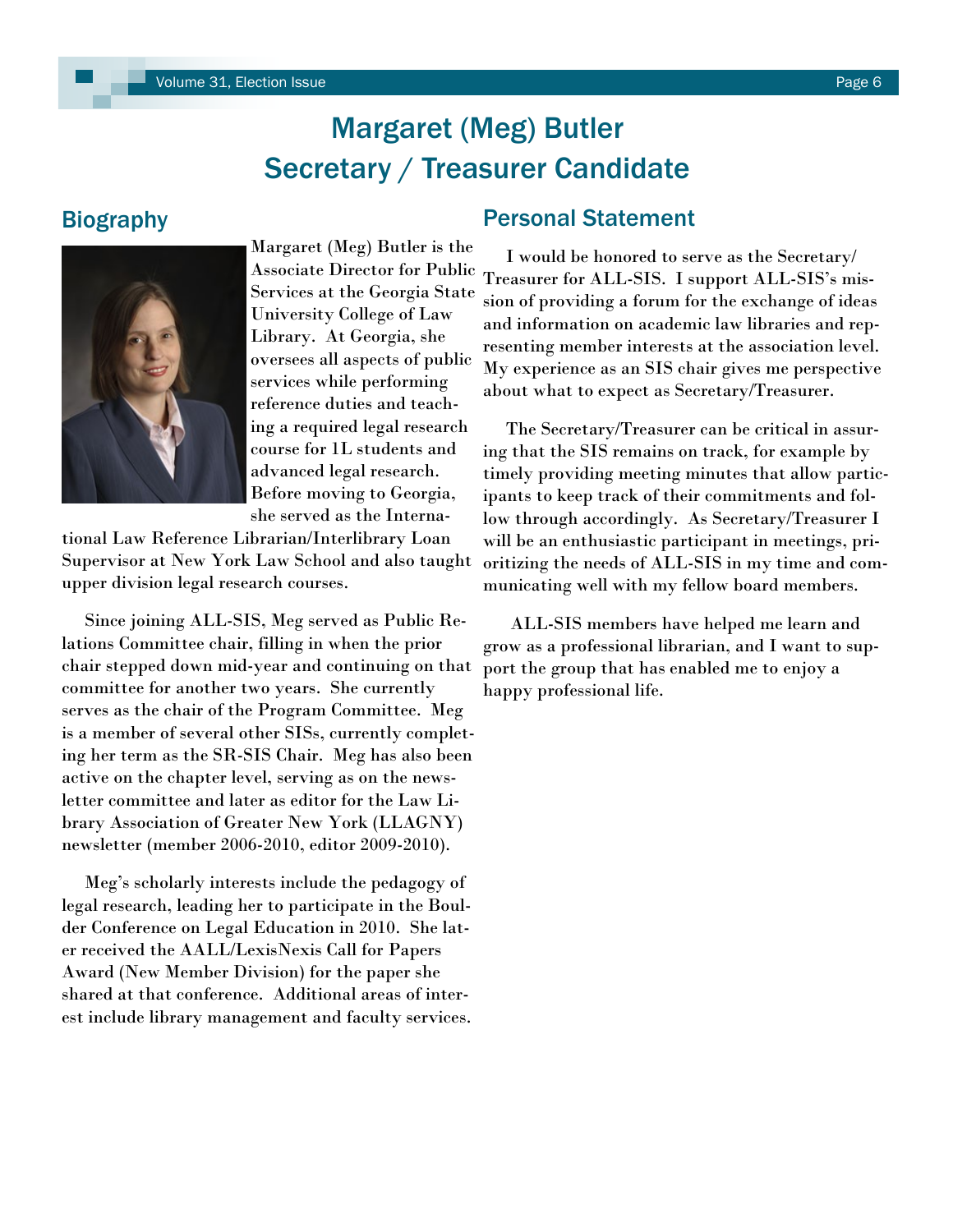# Margaret (Meg) Butler Secretary / Treasurer Candidate

### <span id="page-5-0"></span>Biography



Margaret (Meg) Butler is the Associate Director for Public Services at the Georgia State University College of Law Library. At Georgia, she oversees all aspects of public services while performing reference duties and teaching a required legal research course for 1L students and advanced legal research. Before moving to Georgia, she served as the Interna-

tional Law Reference Librarian/Interlibrary Loan Supervisor at New York Law School and also taught upper division legal research courses.

 Since joining ALL-SIS, Meg served as Public Relations Committee chair, filling in when the prior chair stepped down mid-year and continuing on that committee for another two years. She currently serves as the chair of the Program Committee. Meg is a member of several other SISs, currently completing her term as the SR-SIS Chair. Meg has also been active on the chapter level, serving as on the newsletter committee and later as editor for the Law Library Association of Greater New York (LLAGNY) newsletter (member 2006-2010, editor 2009-2010).

 Meg"s scholarly interests include the pedagogy of legal research, leading her to participate in the Boulder Conference on Legal Education in 2010. She later received the AALL/LexisNexis Call for Papers Award (New Member Division) for the paper she shared at that conference. Additional areas of interest include library management and faculty services.

### Personal Statement

 I would be honored to serve as the Secretary/ Treasurer for ALL-SIS. I support ALL-SIS"s mission of providing a forum for the exchange of ideas and information on academic law libraries and representing member interests at the association level. My experience as an SIS chair gives me perspective about what to expect as Secretary/Treasurer.

 The Secretary/Treasurer can be critical in assuring that the SIS remains on track, for example by timely providing meeting minutes that allow participants to keep track of their commitments and follow through accordingly. As Secretary/Treasurer I will be an enthusiastic participant in meetings, prioritizing the needs of ALL-SIS in my time and communicating well with my fellow board members.

 ALL-SIS members have helped me learn and grow as a professional librarian, and I want to support the group that has enabled me to enjoy a happy professional life.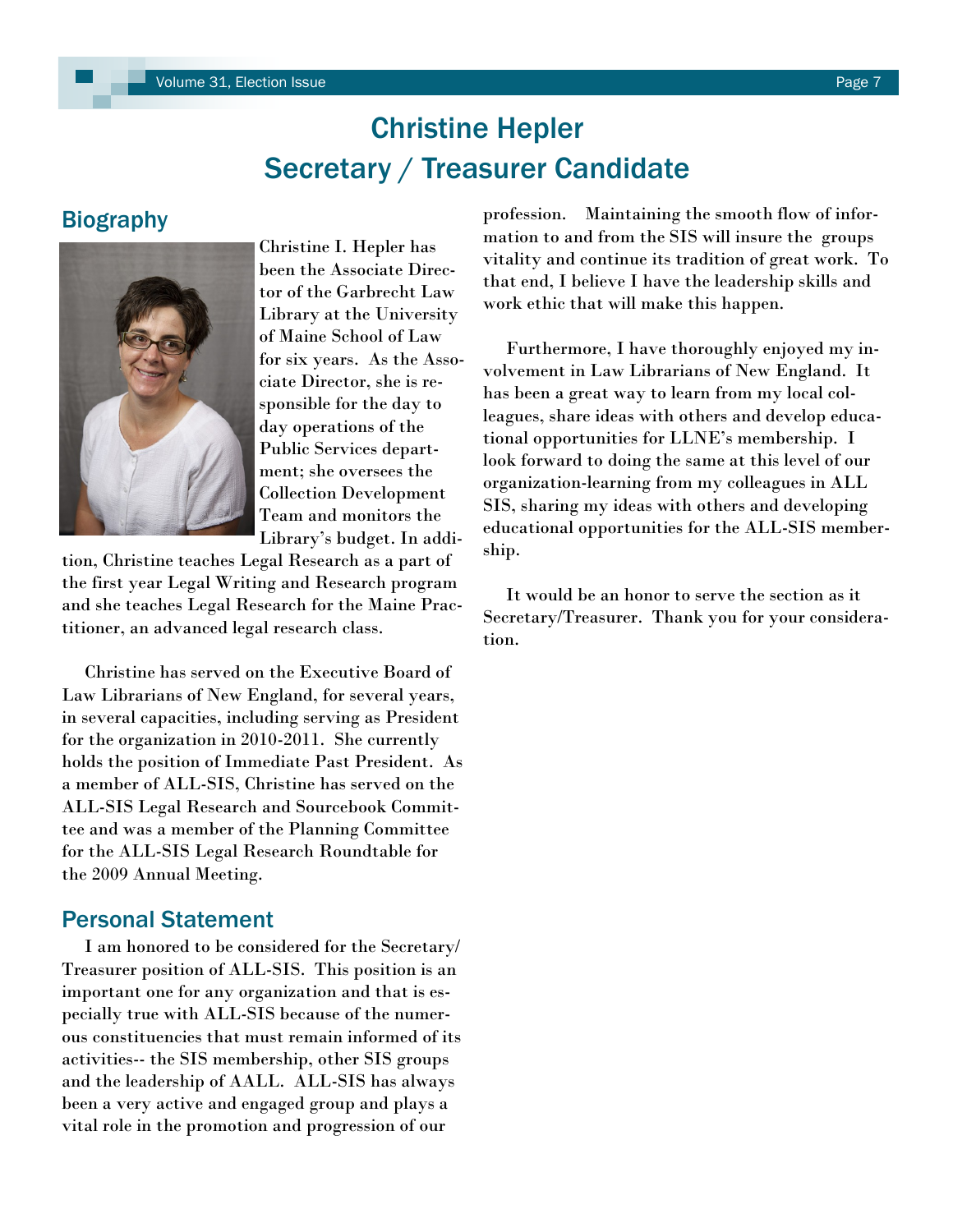# Christine Hepler Secretary / Treasurer Candidate

### <span id="page-6-0"></span>**Biography**



Christine I. Hepler has been the Associate Director of the Garbrecht Law Library at the University of Maine School of Law for six years. As the Associate Director, she is responsible for the day to day operations of the Public Services department; she oversees the Collection Development Team and monitors the Library"s budget. In addi-

tion, Christine teaches Legal Research as a part of the first year Legal Writing and Research program and she teaches Legal Research for the Maine Practitioner, an advanced legal research class.

 Christine has served on the Executive Board of Law Librarians of New England, for several years, in several capacities, including serving as President for the organization in 2010-2011. She currently holds the position of Immediate Past President. As a member of ALL-SIS, Christine has served on the ALL-SIS Legal Research and Sourcebook Committee and was a member of the Planning Committee for the ALL-SIS Legal Research Roundtable for the 2009 Annual Meeting.

### Personal Statement

 I am honored to be considered for the Secretary/ Treasurer position of ALL-SIS. This position is an important one for any organization and that is especially true with ALL-SIS because of the numerous constituencies that must remain informed of its activities-- the SIS membership, other SIS groups and the leadership of AALL. ALL-SIS has always been a very active and engaged group and plays a vital role in the promotion and progression of our

profession. Maintaining the smooth flow of information to and from the SIS will insure the groups vitality and continue its tradition of great work. To that end, I believe I have the leadership skills and work ethic that will make this happen.

 Furthermore, I have thoroughly enjoyed my involvement in Law Librarians of New England. It has been a great way to learn from my local colleagues, share ideas with others and develop educational opportunities for LLNE"s membership. I look forward to doing the same at this level of our organization-learning from my colleagues in ALL SIS, sharing my ideas with others and developing educational opportunities for the ALL-SIS membership.

 It would be an honor to serve the section as it Secretary/Treasurer. Thank you for your consideration.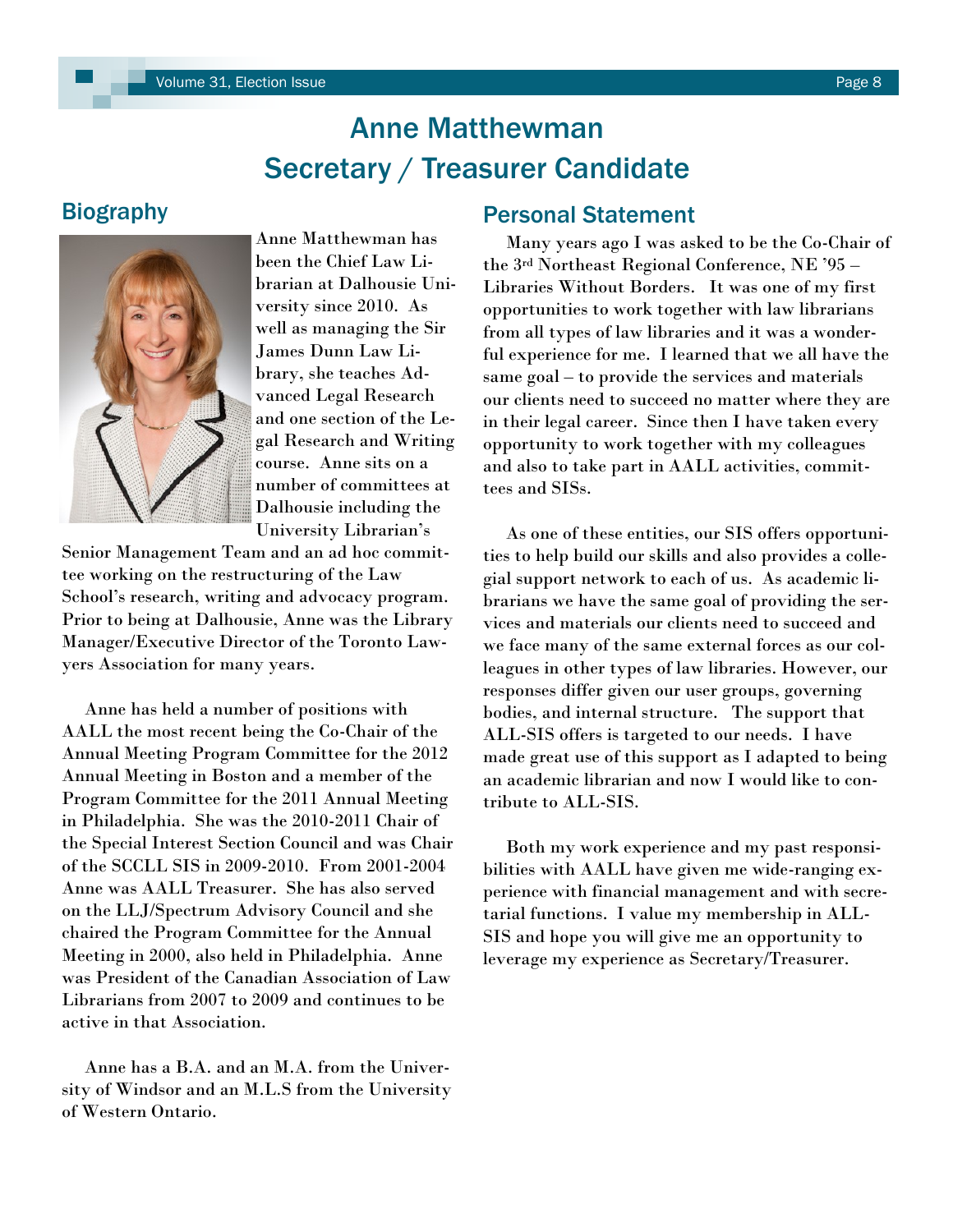# Anne Matthewman Secretary / Treasurer Candidate

### <span id="page-7-0"></span>**Biography**



Anne Matthewman has been the Chief Law Librarian at Dalhousie University since 2010. As well as managing the Sir James Dunn Law Library, she teaches Advanced Legal Research and one section of the Legal Research and Writing course. Anne sits on a number of committees at Dalhousie including the University Librarian"s

Senior Management Team and an ad hoc committee working on the restructuring of the Law School"s research, writing and advocacy program. Prior to being at Dalhousie, Anne was the Library Manager/Executive Director of the Toronto Lawyers Association for many years.

 Anne has held a number of positions with AALL the most recent being the Co-Chair of the Annual Meeting Program Committee for the 2012 Annual Meeting in Boston and a member of the Program Committee for the 2011 Annual Meeting in Philadelphia. She was the 2010-2011 Chair of the Special Interest Section Council and was Chair of the SCCLL SIS in 2009-2010. From 2001-2004 Anne was AALL Treasurer. She has also served on the LLJ/Spectrum Advisory Council and she chaired the Program Committee for the Annual Meeting in 2000, also held in Philadelphia. Anne was President of the Canadian Association of Law Librarians from 2007 to 2009 and continues to be active in that Association.

 Anne has a B.A. and an M.A. from the University of Windsor and an M.L.S from the University of Western Ontario.

### Personal Statement

 Many years ago I was asked to be the Co-Chair of the 3rd Northeast Regional Conference, NE "95 – Libraries Without Borders. It was one of my first opportunities to work together with law librarians from all types of law libraries and it was a wonderful experience for me. I learned that we all have the same goal – to provide the services and materials our clients need to succeed no matter where they are in their legal career. Since then I have taken every opportunity to work together with my colleagues and also to take part in AALL activities, committees and SISs.

 As one of these entities, our SIS offers opportunities to help build our skills and also provides a collegial support network to each of us. As academic librarians we have the same goal of providing the services and materials our clients need to succeed and we face many of the same external forces as our colleagues in other types of law libraries. However, our responses differ given our user groups, governing bodies, and internal structure. The support that ALL-SIS offers is targeted to our needs. I have made great use of this support as I adapted to being an academic librarian and now I would like to contribute to ALL-SIS.

 Both my work experience and my past responsibilities with AALL have given me wide-ranging experience with financial management and with secretarial functions. I value my membership in ALL-SIS and hope you will give me an opportunity to leverage my experience as Secretary/Treasurer.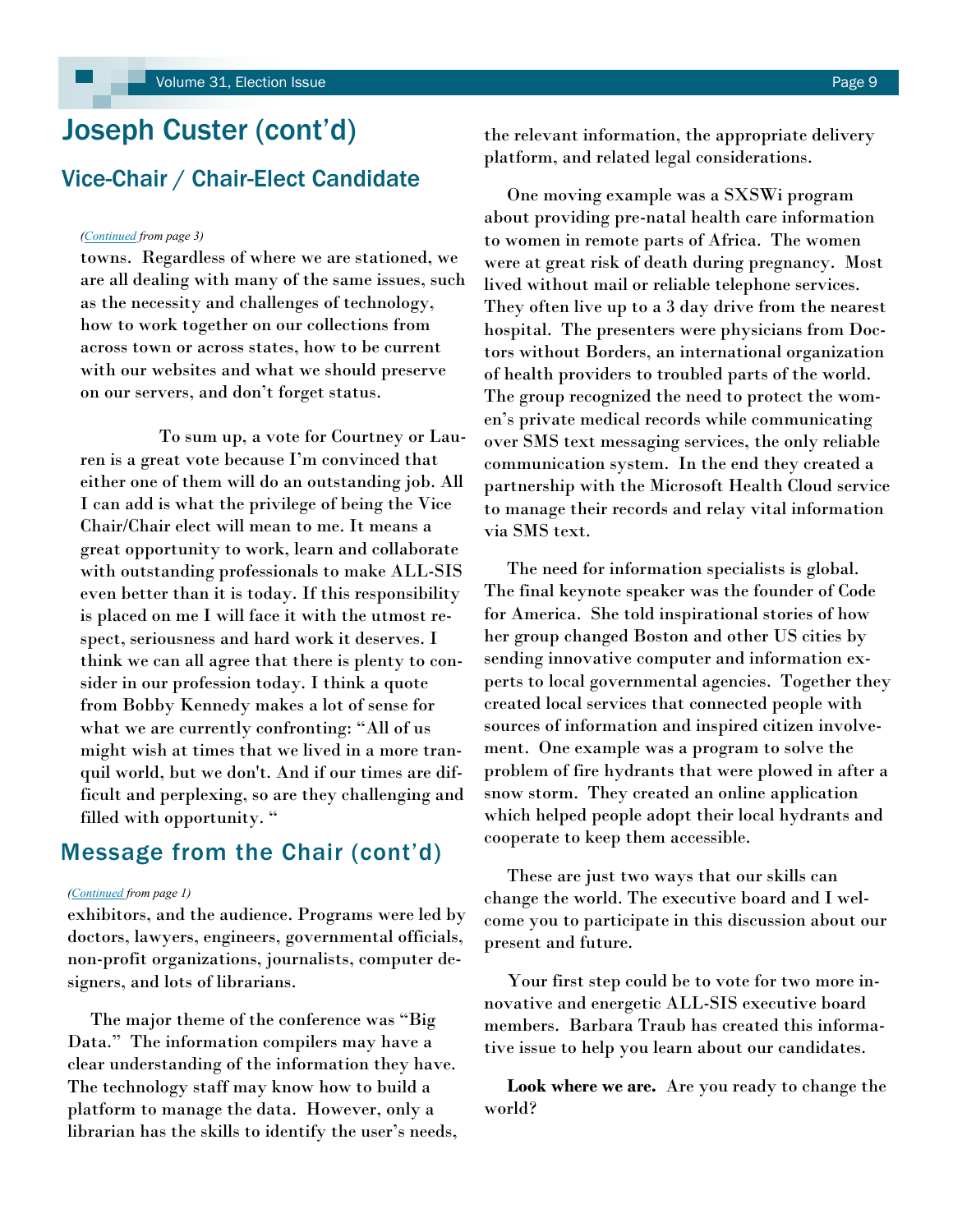# <span id="page-8-0"></span>Joseph Custer (cont'd) Vice-Chair / Chair-Elect Candidate

#### *[\(Continued](#page-2-0) from page 3)*

towns. Regardless of where we are stationed, we are all dealing with many of the same issues, such as the necessity and challenges of technology, how to work together on our collections from across town or across states, how to be current with our websites and what we should preserve on our servers, and don"t forget status.

 To sum up, a vote for Courtney or Lauren is a great vote because I"m convinced that either one of them will do an outstanding job. All I can add is what the privilege of being the Vice Chair/Chair elect will mean to me. It means a great opportunity to work, learn and collaborate with outstanding professionals to make ALL-SIS even better than it is today. If this responsibility is placed on me I will face it with the utmost respect, seriousness and hard work it deserves. I think we can all agree that there is plenty to consider in our profession today. I think a quote from Bobby Kennedy makes a lot of sense for what we are currently confronting: "All of us might wish at times that we lived in a more tranquil world, but we don't. And if our times are difficult and perplexing, so are they challenging and filled with opportunity. "

### Message from the Chair (cont'd)

#### *([Continued](#page-0-0) from page 1)*

exhibitors, and the audience. Programs were led by doctors, lawyers, engineers, governmental officials, non-profit organizations, journalists, computer designers, and lots of librarians.

 The major theme of the conference was "Big Data." The information compilers may have a clear understanding of the information they have. The technology staff may know how to build a platform to manage the data. However, only a librarian has the skills to identify the user's needs, the relevant information, the appropriate delivery platform, and related legal considerations.

 One moving example was a SXSWi program about providing pre-natal health care information to women in remote parts of Africa. The women were at great risk of death during pregnancy. Most lived without mail or reliable telephone services. They often live up to a 3 day drive from the nearest hospital. The presenters were physicians from Doctors without Borders, an international organization of health providers to troubled parts of the world. The group recognized the need to protect the women"s private medical records while communicating over SMS text messaging services, the only reliable communication system. In the end they created a partnership with the Microsoft Health Cloud service to manage their records and relay vital information via SMS text.

 The need for information specialists is global. The final keynote speaker was the founder of Code for America. She told inspirational stories of how her group changed Boston and other US cities by sending innovative computer and information experts to local governmental agencies. Together they created local services that connected people with sources of information and inspired citizen involvement. One example was a program to solve the problem of fire hydrants that were plowed in after a snow storm. They created an online application which helped people adopt their local hydrants and cooperate to keep them accessible.

 These are just two ways that our skills can change the world. The executive board and I welcome you to participate in this discussion about our present and future.

 Your first step could be to vote for two more innovative and energetic ALL-SIS executive board members. Barbara Traub has created this informative issue to help you learn about our candidates.

 **Look where we are.** Are you ready to change the world?